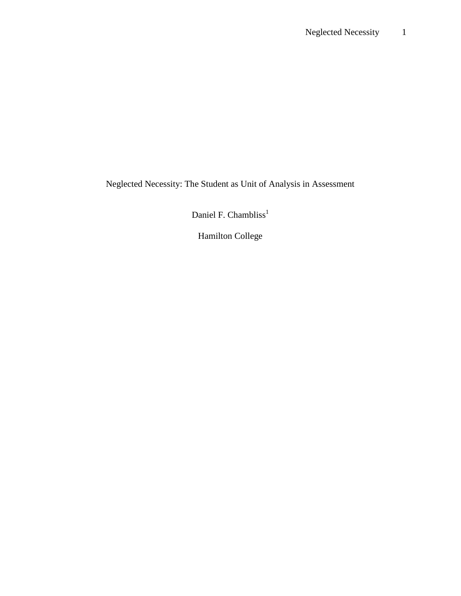Neglected Necessity: The Student as Unit of Analysis in Assessment

Daniel F. Chambliss<sup>1</sup>

Hamilton College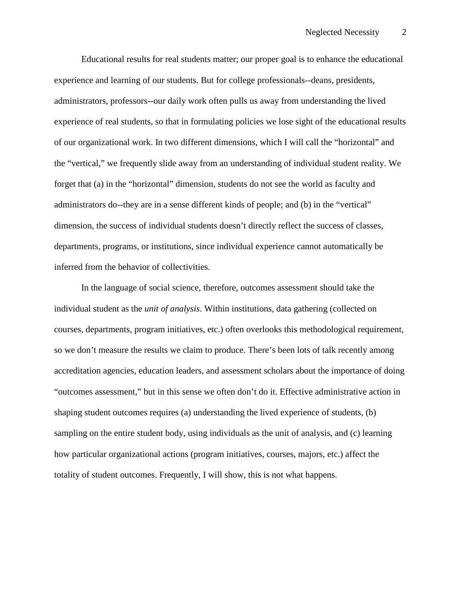Educational results for real students matter; our proper goal is to enhance the educational experience and learning of our students. But for college professionals--deans, presidents, administrators, professors--our daily work often pulls us away from understanding the lived experience of real students, so that in formulating policies we lose sight of the educational results of our organizational work. In two different dimensions, which I will call the "horizontal" and the "vertical," we frequently slide away from an understanding of individual student reality. We forget that (a) in the "horizontal" dimension, students do not see the world as faculty and administrators do--they are in a sense different kinds of people; and (b) in the "vertical" dimension, the success of individual students doesn't directly reflect the success of classes, departments, programs, or institutions, since individual experience cannot automatically be inferred from the behavior of collectivities.

 In the language of social science, therefore, outcomes assessment should take the individual student as the *unit of analysis*. Within institutions, data gathering (collected on courses, departments, program initiatives, etc.) often overlooks this methodological requirement, so we don't measure the results we claim to produce. There's been lots of talk recently among accreditation agencies, education leaders, and assessment scholars about the importance of doing "outcomes assessment," but in this sense we often don't do it. Effective administrative action in shaping student outcomes requires (a) understanding the lived experience of students, (b) sampling on the entire student body, using individuals as the unit of analysis, and (c) learning how particular organizational actions (program initiatives, courses, majors, etc.) affect the totality of student outcomes. Frequently, I will show, this is not what happens.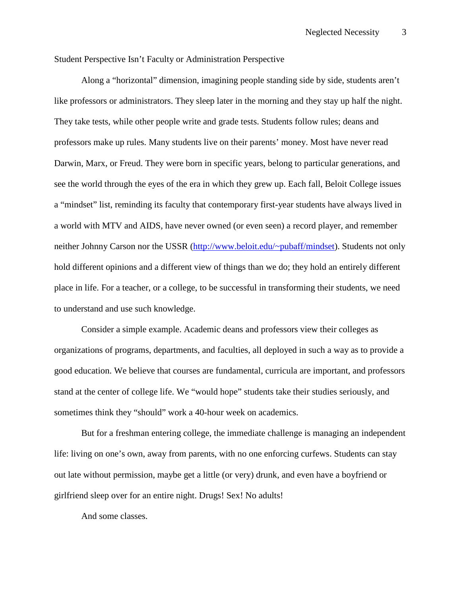Student Perspective Isn't Faculty or Administration Perspective

 Along a "horizontal" dimension, imagining people standing side by side, students aren't like professors or administrators. They sleep later in the morning and they stay up half the night. They take tests, while other people write and grade tests. Students follow rules; deans and professors make up rules. Many students live on their parents' money. Most have never read Darwin, Marx, or Freud. They were born in specific years, belong to particular generations, and see the world through the eyes of the era in which they grew up. Each fall, Beloit College issues a "mindset" list, reminding its faculty that contemporary first-year students have always lived in a world with MTV and AIDS, have never owned (or even seen) a record player, and remember neither Johnny Carson nor the USSR (http://www.beloit.edu/~pubaff/mindset). Students not only hold different opinions and a different view of things than we do; they hold an entirely different place in life. For a teacher, or a college, to be successful in transforming their students, we need to understand and use such knowledge.

 Consider a simple example. Academic deans and professors view their colleges as organizations of programs, departments, and faculties, all deployed in such a way as to provide a good education. We believe that courses are fundamental, curricula are important, and professors stand at the center of college life. We "would hope" students take their studies seriously, and sometimes think they "should" work a 40-hour week on academics.

But for a freshman entering college, the immediate challenge is managing an independent life: living on one's own, away from parents, with no one enforcing curfews. Students can stay out late without permission, maybe get a little (or very) drunk, and even have a boyfriend or girlfriend sleep over for an entire night. Drugs! Sex! No adults!

And some classes.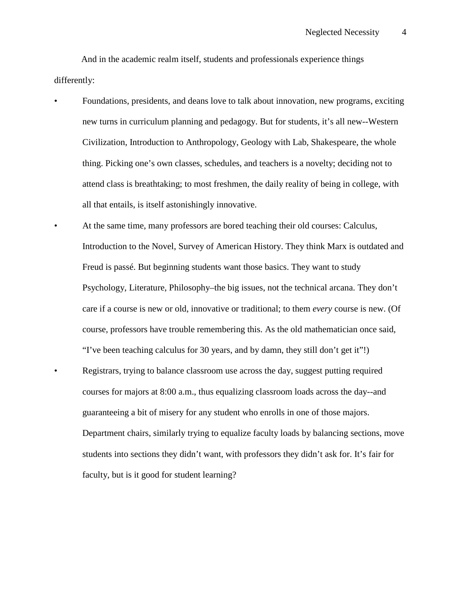And in the academic realm itself, students and professionals experience things differently:

- Foundations, presidents, and deans love to talk about innovation, new programs, exciting new turns in curriculum planning and pedagogy. But for students, it's all new--Western Civilization, Introduction to Anthropology, Geology with Lab, Shakespeare, the whole thing. Picking one's own classes, schedules, and teachers is a novelty; deciding not to attend class is breathtaking; to most freshmen, the daily reality of being in college, with all that entails, is itself astonishingly innovative.
- At the same time, many professors are bored teaching their old courses: Calculus, Introduction to the Novel, Survey of American History. They think Marx is outdated and Freud is passé. But beginning students want those basics. They want to study Psychology, Literature, Philosophy–the big issues, not the technical arcana. They don't care if a course is new or old, innovative or traditional; to them *every* course is new. (Of course, professors have trouble remembering this. As the old mathematician once said, "I've been teaching calculus for 30 years, and by damn, they still don't get it"!) • Registrars, trying to balance classroom use across the day, suggest putting required courses for majors at 8:00 a.m., thus equalizing classroom loads across the day--and guaranteeing a bit of misery for any student who enrolls in one of those majors. Department chairs, similarly trying to equalize faculty loads by balancing sections, move students into sections they didn't want, with professors they didn't ask for. It's fair for faculty, but is it good for student learning?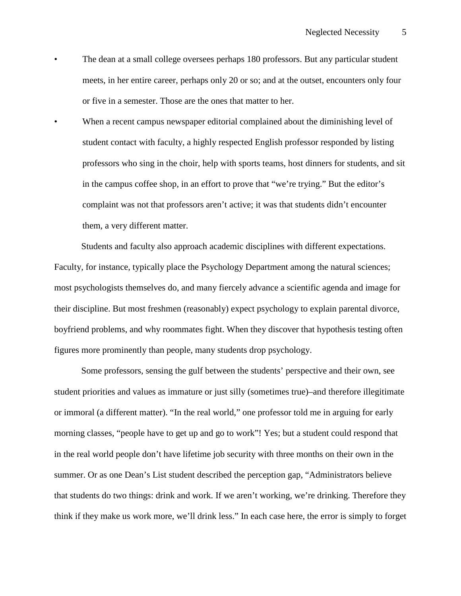- The dean at a small college oversees perhaps 180 professors. But any particular student meets, in her entire career, perhaps only 20 or so; and at the outset, encounters only four or five in a semester. Those are the ones that matter to her.
- When a recent campus newspaper editorial complained about the diminishing level of student contact with faculty, a highly respected English professor responded by listing professors who sing in the choir, help with sports teams, host dinners for students, and sit in the campus coffee shop, in an effort to prove that "we're trying." But the editor's complaint was not that professors aren't active; it was that students didn't encounter them, a very different matter.

 Students and faculty also approach academic disciplines with different expectations. Faculty, for instance, typically place the Psychology Department among the natural sciences; most psychologists themselves do, and many fiercely advance a scientific agenda and image for their discipline. But most freshmen (reasonably) expect psychology to explain parental divorce, boyfriend problems, and why roommates fight. When they discover that hypothesis testing often figures more prominently than people, many students drop psychology.

 Some professors, sensing the gulf between the students' perspective and their own, see student priorities and values as immature or just silly (sometimes true)–and therefore illegitimate or immoral (a different matter). "In the real world," one professor told me in arguing for early morning classes, "people have to get up and go to work"! Yes; but a student could respond that in the real world people don't have lifetime job security with three months on their own in the summer. Or as one Dean's List student described the perception gap, "Administrators believe that students do two things: drink and work. If we aren't working, we're drinking. Therefore they think if they make us work more, we'll drink less." In each case here, the error is simply to forget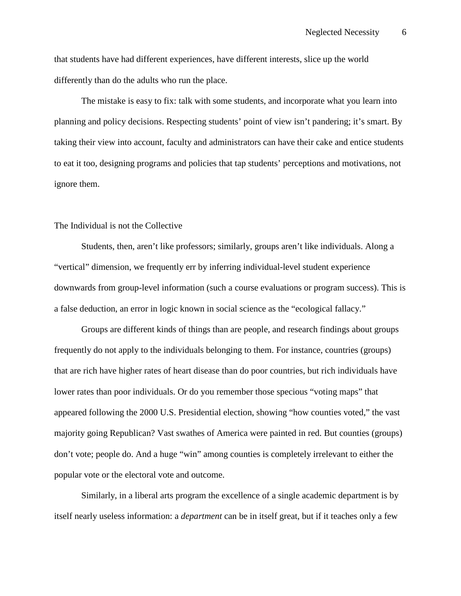that students have had different experiences, have different interests, slice up the world differently than do the adults who run the place.

The mistake is easy to fix: talk with some students, and incorporate what you learn into planning and policy decisions. Respecting students' point of view isn't pandering; it's smart. By taking their view into account, faculty and administrators can have their cake and entice students to eat it too, designing programs and policies that tap students' perceptions and motivations, not ignore them.

## The Individual is not the Collective

 Students, then, aren't like professors; similarly, groups aren't like individuals. Along a "vertical" dimension, we frequently err by inferring individual-level student experience downwards from group-level information (such a course evaluations or program success). This is a false deduction, an error in logic known in social science as the "ecological fallacy."

Groups are different kinds of things than are people, and research findings about groups frequently do not apply to the individuals belonging to them. For instance, countries (groups) that are rich have higher rates of heart disease than do poor countries, but rich individuals have lower rates than poor individuals. Or do you remember those specious "voting maps" that appeared following the 2000 U.S. Presidential election, showing "how counties voted," the vast majority going Republican? Vast swathes of America were painted in red. But counties (groups) don't vote; people do. And a huge "win" among counties is completely irrelevant to either the popular vote or the electoral vote and outcome.

Similarly, in a liberal arts program the excellence of a single academic department is by itself nearly useless information: a *department* can be in itself great, but if it teaches only a few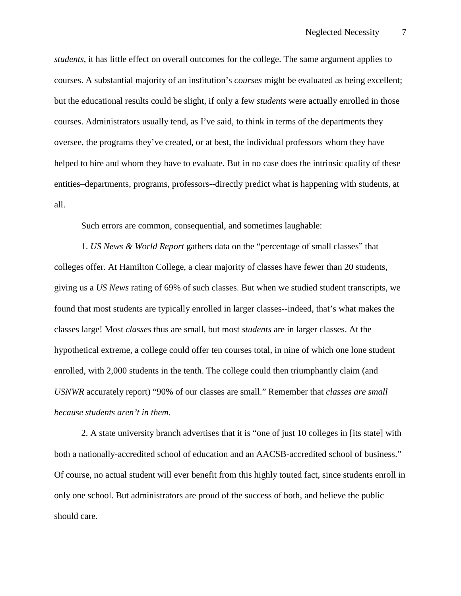*students*, it has little effect on overall outcomes for the college. The same argument applies to courses. A substantial majority of an institution's *courses* might be evaluated as being excellent; but the educational results could be slight, if only a few *students* were actually enrolled in those courses. Administrators usually tend, as I've said, to think in terms of the departments they oversee, the programs they've created, or at best, the individual professors whom they have helped to hire and whom they have to evaluate. But in no case does the intrinsic quality of these entities–departments, programs, professors--directly predict what is happening with students, at all.

Such errors are common, consequential, and sometimes laughable:

1. *US News & World Report* gathers data on the "percentage of small classes" that colleges offer. At Hamilton College, a clear majority of classes have fewer than 20 students, giving us a *US News* rating of 69% of such classes. But when we studied student transcripts, we found that most students are typically enrolled in larger classes--indeed, that's what makes the classes large! Most *classes* thus are small, but most *students* are in larger classes. At the hypothetical extreme, a college could offer ten courses total, in nine of which one lone student enrolled, with 2,000 students in the tenth. The college could then triumphantly claim (and *USNWR* accurately report) "90% of our classes are small." Remember that *classes are small because students aren't in them*.

2. A state university branch advertises that it is "one of just 10 colleges in [its state] with both a nationally-accredited school of education and an AACSB-accredited school of business." Of course, no actual student will ever benefit from this highly touted fact, since students enroll in only one school. But administrators are proud of the success of both, and believe the public should care.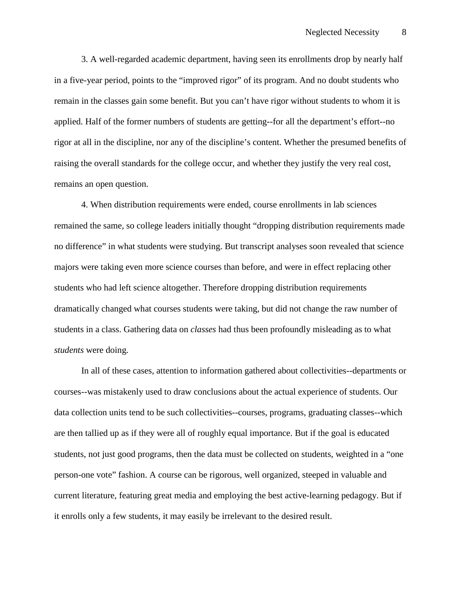3. A well-regarded academic department, having seen its enrollments drop by nearly half in a five-year period, points to the "improved rigor" of its program. And no doubt students who remain in the classes gain some benefit. But you can't have rigor without students to whom it is applied. Half of the former numbers of students are getting--for all the department's effort--no rigor at all in the discipline, nor any of the discipline's content. Whether the presumed benefits of raising the overall standards for the college occur, and whether they justify the very real cost, remains an open question.

4. When distribution requirements were ended, course enrollments in lab sciences remained the same, so college leaders initially thought "dropping distribution requirements made no difference" in what students were studying. But transcript analyses soon revealed that science majors were taking even more science courses than before, and were in effect replacing other students who had left science altogether. Therefore dropping distribution requirements dramatically changed what courses students were taking, but did not change the raw number of students in a class. Gathering data on *classes* had thus been profoundly misleading as to what *students* were doing.

 In all of these cases, attention to information gathered about collectivities--departments or courses--was mistakenly used to draw conclusions about the actual experience of students. Our data collection units tend to be such collectivities--courses, programs, graduating classes--which are then tallied up as if they were all of roughly equal importance. But if the goal is educated students, not just good programs, then the data must be collected on students, weighted in a "one person-one vote" fashion. A course can be rigorous, well organized, steeped in valuable and current literature, featuring great media and employing the best active-learning pedagogy. But if it enrolls only a few students, it may easily be irrelevant to the desired result.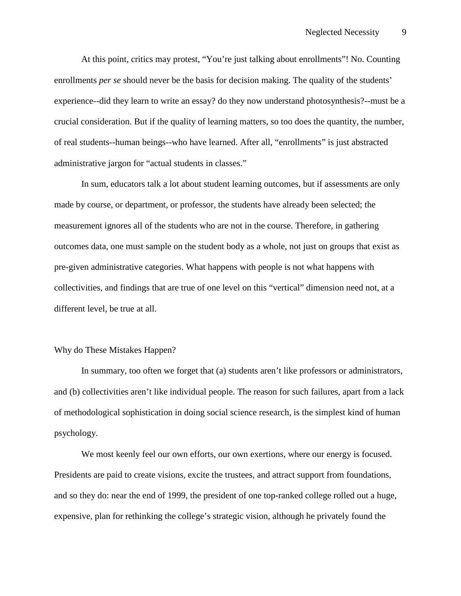At this point, critics may protest, "You're just talking about enrollments"! No. Counting enrollments *per se* should never be the basis for decision making. The quality of the students' experience--did they learn to write an essay? do they now understand photosynthesis?--must be a crucial consideration. But if the quality of learning matters, so too does the quantity, the number, of real students--human beings--who have learned. After all, "enrollments" is just abstracted administrative jargon for "actual students in classes."

 In sum, educators talk a lot about student learning outcomes, but if assessments are only made by course, or department, or professor, the students have already been selected; the measurement ignores all of the students who are not in the course. Therefore, in gathering outcomes data, one must sample on the student body as a whole, not just on groups that exist as pre-given administrative categories. What happens with people is not what happens with collectivities, and findings that are true of one level on this "vertical" dimension need not, at a different level, be true at all.

## Why do These Mistakes Happen?

 In summary, too often we forget that (a) students aren't like professors or administrators, and (b) collectivities aren't like individual people. The reason for such failures, apart from a lack of methodological sophistication in doing social science research, is the simplest kind of human psychology.

We most keenly feel our own efforts, our own exertions, where our energy is focused. Presidents are paid to create visions, excite the trustees, and attract support from foundations, and so they do: near the end of 1999, the president of one top-ranked college rolled out a huge, expensive, plan for rethinking the college's strategic vision, although he privately found the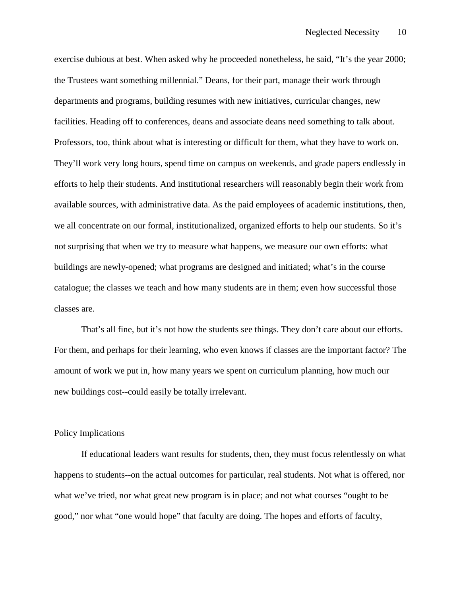exercise dubious at best. When asked why he proceeded nonetheless, he said, "It's the year 2000; the Trustees want something millennial." Deans, for their part, manage their work through departments and programs, building resumes with new initiatives, curricular changes, new facilities. Heading off to conferences, deans and associate deans need something to talk about. Professors, too, think about what is interesting or difficult for them, what they have to work on. They'll work very long hours, spend time on campus on weekends, and grade papers endlessly in efforts to help their students. And institutional researchers will reasonably begin their work from available sources, with administrative data. As the paid employees of academic institutions, then, we all concentrate on our formal, institutionalized, organized efforts to help our students. So it's not surprising that when we try to measure what happens, we measure our own efforts: what buildings are newly-opened; what programs are designed and initiated; what's in the course catalogue; the classes we teach and how many students are in them; even how successful those classes are.

 That's all fine, but it's not how the students see things. They don't care about our efforts. For them, and perhaps for their learning, who even knows if classes are the important factor? The amount of work we put in, how many years we spent on curriculum planning, how much our new buildings cost--could easily be totally irrelevant.

## Policy Implications

If educational leaders want results for students, then, they must focus relentlessly on what happens to students--on the actual outcomes for particular, real students. Not what is offered, nor what we've tried, nor what great new program is in place; and not what courses "ought to be good," nor what "one would hope" that faculty are doing. The hopes and efforts of faculty,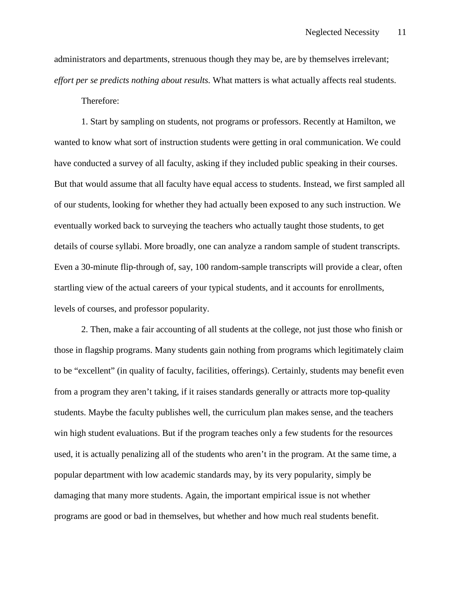administrators and departments, strenuous though they may be, are by themselves irrelevant; *effort per se predicts nothing about results.* What matters is what actually affects real students. Therefore:

 1. Start by sampling on students, not programs or professors. Recently at Hamilton, we wanted to know what sort of instruction students were getting in oral communication. We could have conducted a survey of all faculty, asking if they included public speaking in their courses. But that would assume that all faculty have equal access to students. Instead, we first sampled all of our students, looking for whether they had actually been exposed to any such instruction. We eventually worked back to surveying the teachers who actually taught those students, to get details of course syllabi. More broadly, one can analyze a random sample of student transcripts. Even a 30-minute flip-through of, say, 100 random-sample transcripts will provide a clear, often startling view of the actual careers of your typical students, and it accounts for enrollments, levels of courses, and professor popularity.

2. Then, make a fair accounting of all students at the college, not just those who finish or those in flagship programs. Many students gain nothing from programs which legitimately claim to be "excellent" (in quality of faculty, facilities, offerings). Certainly, students may benefit even from a program they aren't taking, if it raises standards generally or attracts more top-quality students. Maybe the faculty publishes well, the curriculum plan makes sense, and the teachers win high student evaluations. But if the program teaches only a few students for the resources used, it is actually penalizing all of the students who aren't in the program. At the same time, a popular department with low academic standards may, by its very popularity, simply be damaging that many more students. Again, the important empirical issue is not whether programs are good or bad in themselves, but whether and how much real students benefit.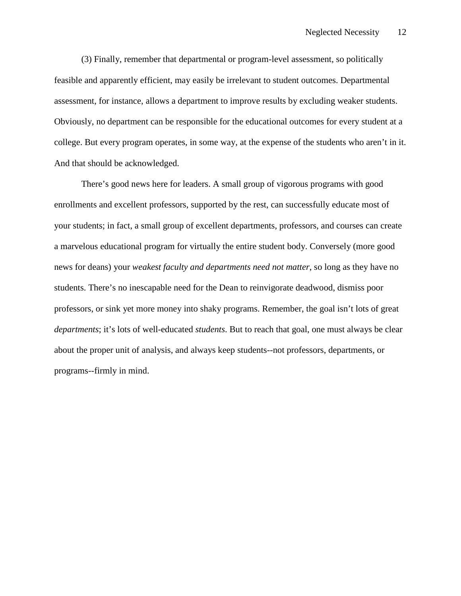(3) Finally, remember that departmental or program-level assessment, so politically feasible and apparently efficient, may easily be irrelevant to student outcomes. Departmental assessment, for instance, allows a department to improve results by excluding weaker students. Obviously, no department can be responsible for the educational outcomes for every student at a college. But every program operates, in some way, at the expense of the students who aren't in it. And that should be acknowledged.

 There's good news here for leaders. A small group of vigorous programs with good enrollments and excellent professors, supported by the rest, can successfully educate most of your students; in fact, a small group of excellent departments, professors, and courses can create a marvelous educational program for virtually the entire student body. Conversely (more good news for deans) your *weakest faculty and departments need not matter*, so long as they have no students. There's no inescapable need for the Dean to reinvigorate deadwood, dismiss poor professors, or sink yet more money into shaky programs. Remember, the goal isn't lots of great *departments*; it's lots of well-educated *students*. But to reach that goal, one must always be clear about the proper unit of analysis, and always keep students--not professors, departments, or programs--firmly in mind.